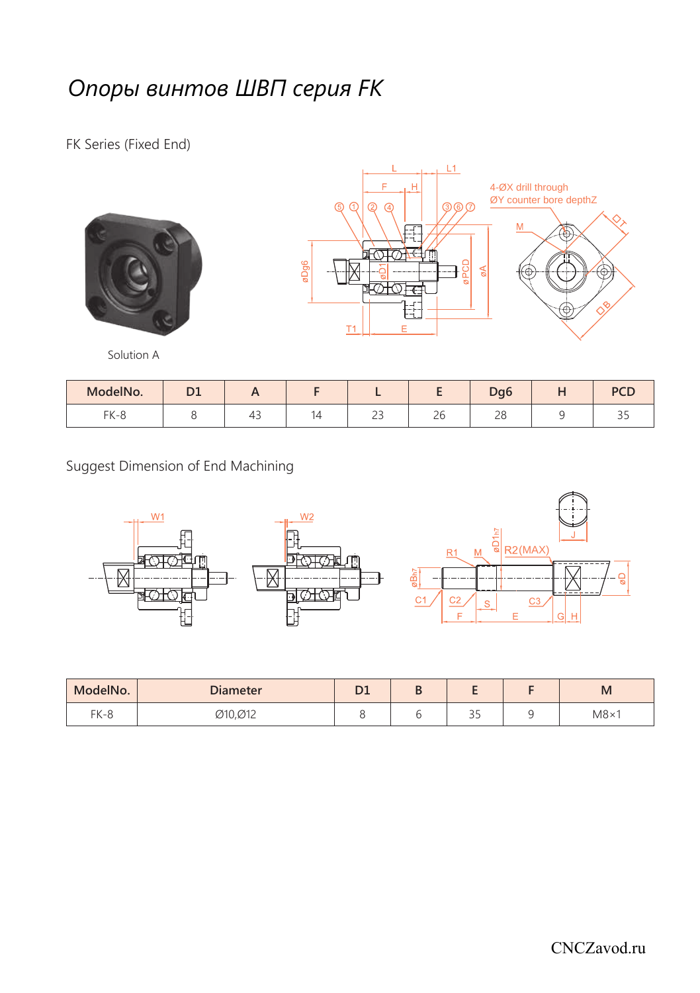## *Опоры винтов ШВП серия FK*

FK Series (Fixed End)







| ModelNo. | n. |        |                    |         | Dq <sub>6</sub><br>- | <b>DCF</b><br>-- |
|----------|----|--------|--------------------|---------|----------------------|------------------|
| FK-8     |    | ᇿ<br>τ | $\sim$ $\sim$<br>ت | -<br>ΔU | 2 U                  | <u>.</u>         |

Suggest Dimension of End Machining



| ModelNo. | <b>Diameter</b> | n.<br>◡ | ш |                   | M           |
|----------|-----------------|---------|---|-------------------|-------------|
| $FK-8$   | Ø10,Ø12         |         |   | $\sim$ $-$<br>ر ر | $M8\times1$ |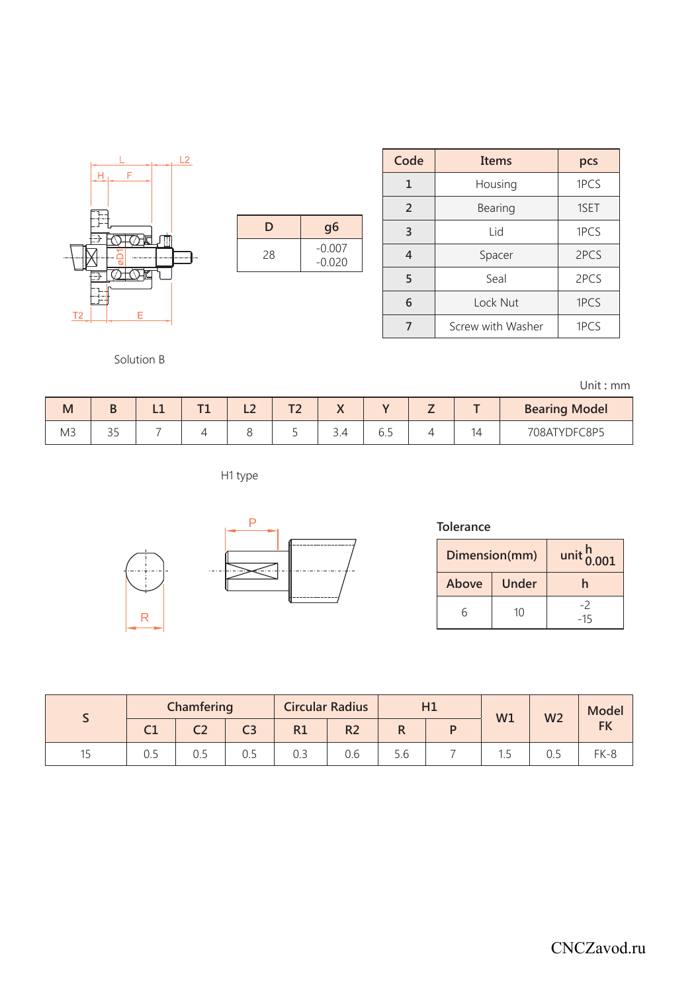|                |        |   | L2 |
|----------------|--------|---|----|
|                | Н<br>F |   |    |
|                |        |   |    |
|                |        |   |    |
|                |        |   |    |
|                |        |   |    |
|                |        |   |    |
|                |        |   |    |
| T <sub>2</sub> |        | E |    |
|                |        |   |    |

| D  | g <sub>6</sub>       |
|----|----------------------|
| 28 | $-0.007$<br>$-0.020$ |

| Code           | Items             | pcs  |
|----------------|-------------------|------|
| $\mathbf{1}$   | Housing           | 1PCS |
| $\overline{2}$ | Bearing           | 1SET |
| 3              | Lid               | 1PCS |
| 4              | Spacer            | 2PCS |
| 5              | Seal              | 2PCS |
| 6              | Lock Nut          | 1PCS |
|                | Screw with Washer | 1PCS |

Solution B

Unit **:** mm

| M          |                      | -- | -- | <b>The County</b><br>. . |     |    |  | <b>Bearing Model</b> |
|------------|----------------------|----|----|--------------------------|-----|----|--|----------------------|
| 5.17<br>M3 | $\sim$ $\sim$<br>ر ر |    |    |                          | . . | ◡. |  | 708ATYDFC8P5         |

H1 type



| Tolerance     |       |                        |  |  |  |  |  |  |  |
|---------------|-------|------------------------|--|--|--|--|--|--|--|
| Dimension(mm) |       | unit $\frac{h}{0.001}$ |  |  |  |  |  |  |  |
| Above         | Under |                        |  |  |  |  |  |  |  |
|               | 10    | -15                    |  |  |  |  |  |  |  |

|    | Chamfering |                | <b>Circular Radius</b><br>H1 |                | W1  | W <sub>2</sub> | Model |  |           |
|----|------------|----------------|------------------------------|----------------|-----|----------------|-------|--|-----------|
| СT | ◡▵         | C <sub>3</sub> | R1                           | R <sub>2</sub> |     |                |       |  | <b>FK</b> |
|    | U.J        | 0.5            | U.3                          | 0.6            | 5.6 |                |       |  | $FK-8$    |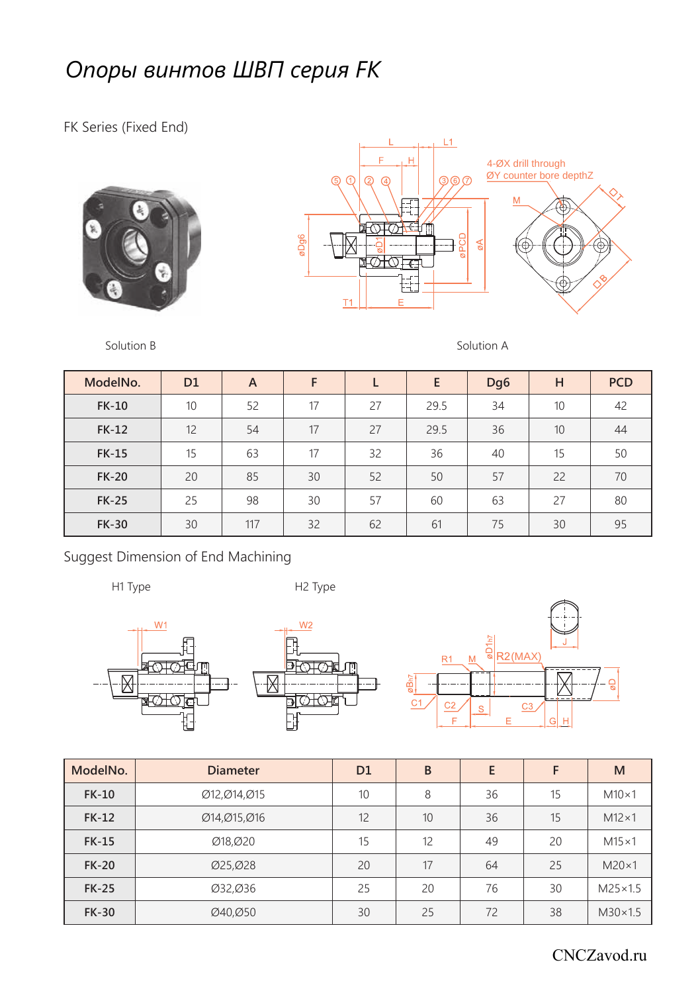## *Опоры винтов ШВП серия FK*

FK Series (Fixed End)







Solution B Solution A

| ModelNo.     | D <sub>1</sub> | A   | F  |    | E    | Dg <sub>6</sub> | н  | <b>PCD</b> |
|--------------|----------------|-----|----|----|------|-----------------|----|------------|
| <b>FK-10</b> | 10             | 52  | 17 | 27 | 29.5 | 34              | 10 | 42         |
| <b>FK-12</b> | 12             | 54  | 17 | 27 | 29.5 | 36              | 10 | 44         |
| <b>FK-15</b> | 15             | 63  | 17 | 32 | 36   | 40              | 15 | 50         |
| <b>FK-20</b> | 20             | 85  | 30 | 52 | 50   | 57              | 22 | 70         |
| <b>FK-25</b> | 25             | 98  | 30 | 57 | 60   | 63              | 27 | 80         |
| <b>FK-30</b> | 30             | 117 | 32 | 62 | 61   | 75              | 30 | 95         |

Suggest Dimension of End Machining

H1 Type H2 Type







| ModelNo.     | <b>Diameter</b> | D <sub>1</sub> | B  | E  | F  | M                |
|--------------|-----------------|----------------|----|----|----|------------------|
| <b>FK-10</b> | Ø12, Ø14, Ø15   | 10             | 8  | 36 | 15 | $M10\times1$     |
| <b>FK-12</b> | Ø14,Ø15,Ø16     | 12             | 10 | 36 | 15 | $M12\times1$     |
| <b>FK-15</b> | Ø18.Ø20         | 15             | 12 | 49 | 20 | $M15\times1$     |
| <b>FK-20</b> | Ø25, Ø28        | 20             | 17 | 64 | 25 | $M20\times1$     |
| <b>FK-25</b> | Ø32,Ø36         | 25             | 20 | 76 | 30 | $M25 \times 1.5$ |
| <b>FK-30</b> | Ø40,Ø50         | 30             | 25 | 72 | 38 | $M30\times1.5$   |